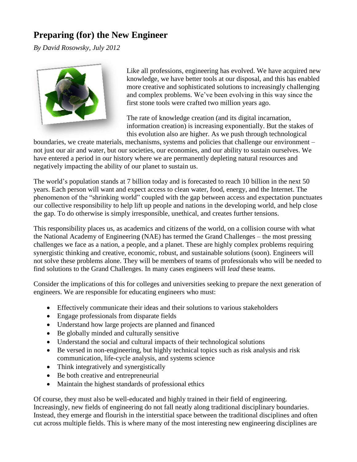## **Preparing (for) the New Engineer**

*By David Rosowsky, July 2012*



Like all professions, engineering has evolved. We have acquired new knowledge, we have better tools at our disposal, and this has enabled more creative and sophisticated solutions to increasingly challenging and complex problems. We've been evolving in this way since the first stone tools were crafted two million years ago.

The rate of knowledge creation (and its digital incarnation, information creation) is increasing exponentially. But the stakes of this evolution also are higher. As we push through technological

boundaries, we create materials, mechanisms, systems and policies that challenge our environment – not just our air and water, but our societies, our economies, and our ability to sustain ourselves. We have entered a period in our history where we are permanently depleting natural resources and negatively impacting the ability of our planet to sustain us.

The world's population stands at 7 billion today and is forecasted to reach 10 billion in the next 50 years. Each person will want and expect access to clean water, food, energy, and the Internet. The phenomenon of the "shrinking world" coupled with the gap between access and expectation punctuates our collective responsibility to help lift up people and nations in the developing world, and help close the gap. To do otherwise is simply irresponsible, unethical, and creates further tensions.

This responsibility places us, as academics and citizens of the world, on a collision course with what the National Academy of Engineering (NAE) has termed the Grand Challenges – the most pressing challenges we face as a nation, a people, and a planet. These are highly complex problems requiring synergistic thinking and creative, economic, robust, and sustainable solutions (soon). Engineers will not solve these problems alone. They will be members of teams of professionals who will be needed to find solutions to the Grand Challenges. In many cases engineers will *lead* these teams.

Consider the implications of this for colleges and universities seeking to prepare the next generation of engineers. We are responsible for educating engineers who must:

- Effectively communicate their ideas and their solutions to various stakeholders
- Engage professionals from disparate fields
- Understand how large projects are planned and financed
- Be globally minded and culturally sensitive
- Understand the social and cultural impacts of their technological solutions
- Be versed in non-engineering, but highly technical topics such as risk analysis and risk communication, life-cycle analysis, and systems science
- Think integratively and synergistically
- Be both creative and entrepreneurial
- Maintain the highest standards of professional ethics

Of course, they must also be well-educated and highly trained in their field of engineering. Increasingly, new fields of engineering do not fall neatly along traditional disciplinary boundaries. Instead, they emerge and flourish in the interstitial space between the traditional disciplines and often cut across multiple fields. This is where many of the most interesting new engineering disciplines are